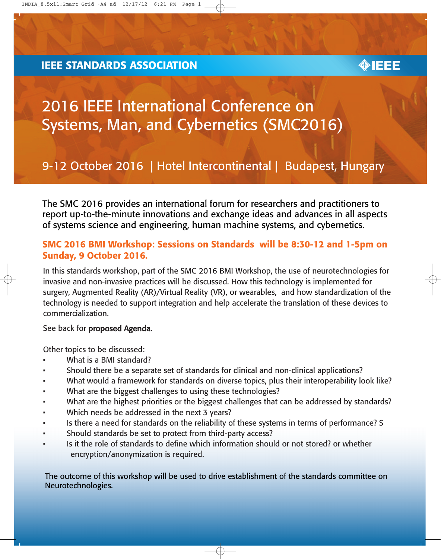#### **IEEE STANDARDS ASSOCIATION**



# 2016 IEEE International Conference on Systems, Man, and Cybernetics (SMC2016)

## 9-12 October 2016 | Hotel Intercontinental | Budapest, Hungary

The SMC 2016 provides an international forum for researchers and practitioners to report up-to-the-minute innovations and exchange ideas and advances in all aspects of systems science and engineering, human machine systems, and cybernetics.

#### SMC 2016 BMI Workshop: Sessions on Standards will be 8:30-12 and 1-5pm on Sunday, 9 October 2016.

In this standards workshop, part of the SMC 2016 BMI Workshop, the use of neurotechnologies for invasive and non-invasive practices will be discussed. How this technology is implemented for surgery, Augmented Reality (AR)/Virtual Reality (VR), or wearables, and how standardization of the technology is needed to support integration and help accelerate the translation of these devices to commercialization.

See back for proposed Agenda.

Other topics to be discussed:

- What is a BMI standard?
- Should there be a separate set of standards for clinical and non-clinical applications?
- What would a framework for standards on diverse topics, plus their interoperability look like?
- What are the biggest challenges to using these technologies?
- What are the highest priorities or the biggest challenges that can be addressed by standards?
- Which needs be addressed in the next 3 years?
- Is there a need for standards on the reliability of these systems in terms of performance? S
- Should standards be set to protect from third-party access?
- Is it the role of standards to define which information should or not stored? or whether encryption/anonymization is required.

The outcome of this workshop will be used to drive establishment of the standards committee on Neurotechnologies.